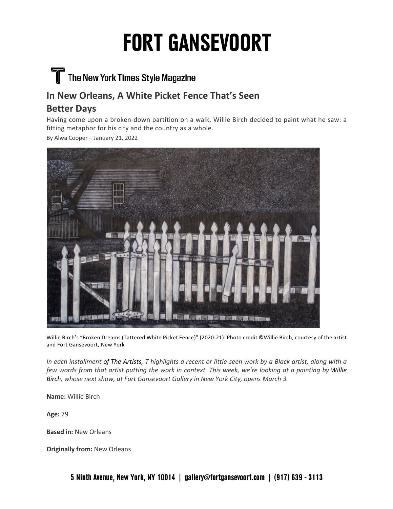# **FORT GANSEVOORT**

### The New York Times Style Magazine

#### **In New Orleans, A White Picket Fence That's Seen**

#### **Better Days**

Having come upon a broken-down partition on a walk, Willie Birch decided to paint what he saw: a fitting metaphor for his city and the country as a whole.

By Alwa Cooper – January 21, 2022



Willie Birch's "Broken Dreams (Tattered White Picket Fence)" (2020-21). Photo credit ©Willie Birch, courtesy of the artist and Fort Gansevoort, New York

In each installment of The Artists, T highlights a recent or little-seen work by a Black artist, along with a few words from that artist putting the work in context. This week, we're looking at a painting by Willie *Birch, whose next show, at Fort Gansevoort Gallery in New York City, opens March 3.*

**Name:** Willie Birch

**Age:** 79

**Based in:** New Orleans

**Originally from:** New Orleans